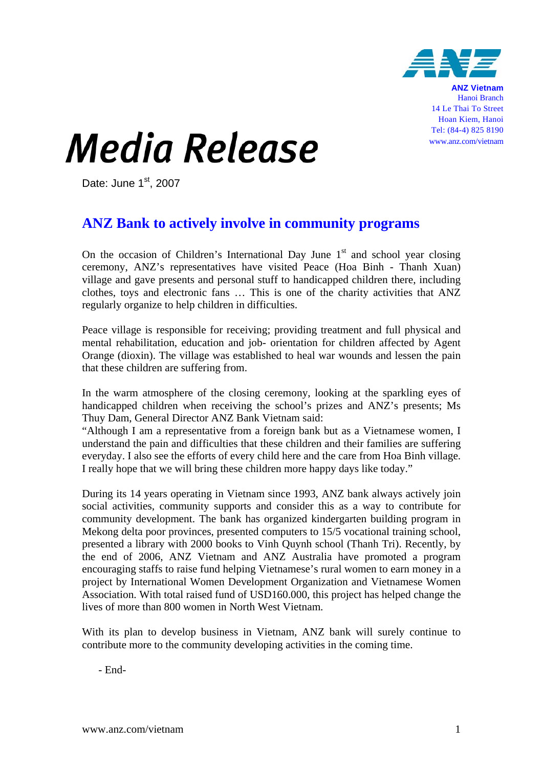

**ANZ Vietnam** Hanoi Branch 14 Le Thai To Street Hoan Kiem, Hanoi Tel: (84-4) 825 8190 www.anz.com/vietnam

## *Media Release*

Date: June  $1<sup>st</sup>$ , 2007

## **ANZ Bank to actively involve in community programs**

On the occasion of Children's International Day June  $1<sup>st</sup>$  and school year closing ceremony, ANZ's representatives have visited Peace (Hoa Binh - Thanh Xuan) village and gave presents and personal stuff to handicapped children there, including clothes, toys and electronic fans … This is one of the charity activities that ANZ regularly organize to help children in difficulties.

Peace village is responsible for receiving; providing treatment and full physical and mental rehabilitation, education and job- orientation for children affected by Agent Orange (dioxin). The village was established to heal war wounds and lessen the pain that these children are suffering from.

In the warm atmosphere of the closing ceremony, looking at the sparkling eyes of handicapped children when receiving the school's prizes and ANZ's presents; Ms Thuy Dam, General Director ANZ Bank Vietnam said:

"Although I am a representative from a foreign bank but as a Vietnamese women, I understand the pain and difficulties that these children and their families are suffering everyday. I also see the efforts of every child here and the care from Hoa Binh village. I really hope that we will bring these children more happy days like today."

During its 14 years operating in Vietnam since 1993, ANZ bank always actively join social activities, community supports and consider this as a way to contribute for community development. The bank has organized kindergarten building program in Mekong delta poor provinces, presented computers to 15/5 vocational training school, presented a library with 2000 books to Vinh Quynh school (Thanh Tri). Recently, by the end of 2006, ANZ Vietnam and ANZ Australia have promoted a program encouraging staffs to raise fund helping Vietnamese's rural women to earn money in a project by International Women Development Organization and Vietnamese Women Association. With total raised fund of USD160.000, this project has helped change the lives of more than 800 women in North West Vietnam.

With its plan to develop business in Vietnam, ANZ bank will surely continue to contribute more to the community developing activities in the coming time.

- End-